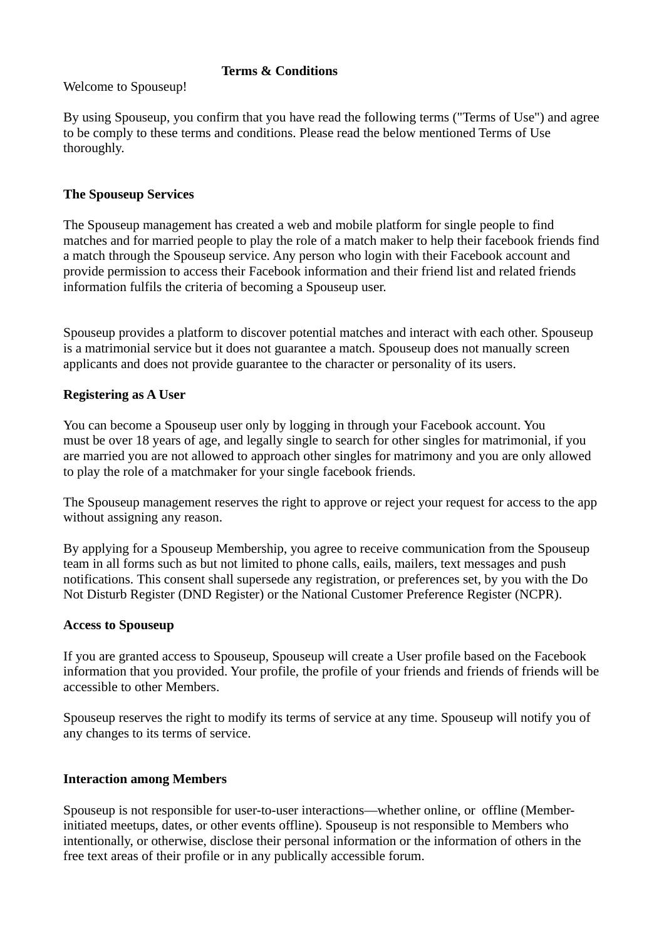#### **Terms & Conditions**

Welcome to Spouseup!

By using Spouseup, you confirm that you have read the following terms ("Terms of Use") and agree to be comply to these terms and conditions. Please read the below mentioned Terms of Use thoroughly.

### **The Spouseup Services**

The Spouseup management has created a web and mobile platform for single people to find matches and for married people to play the role of a match maker to help their facebook friends find a match through the Spouseup service. Any person who login with their Facebook account and provide permission to access their Facebook information and their friend list and related friends information fulfils the criteria of becoming a Spouseup user.

Spouseup provides a platform to discover potential matches and interact with each other. Spouseup is a matrimonial service but it does not guarantee a match. Spouseup does not manually screen applicants and does not provide guarantee to the character or personality of its users.

### **Registering as A User**

You can become a Spouseup user only by logging in through your Facebook account. You must be over 18 years of age, and legally single to search for other singles for matrimonial, if you are married you are not allowed to approach other singles for matrimony and you are only allowed to play the role of a matchmaker for your single facebook friends.

The Spouseup management reserves the right to approve or reject your request for access to the app without assigning any reason.

By applying for a Spouseup Membership, you agree to receive communication from the Spouseup team in all forms such as but not limited to phone calls, eails, mailers, text messages and push notifications. This consent shall supersede any registration, or preferences set, by you with the Do Not Disturb Register (DND Register) or the National Customer Preference Register (NCPR).

### **Access to Spouseup**

If you are granted access to Spouseup, Spouseup will create a User profile based on the Facebook information that you provided. Your profile, the profile of your friends and friends of friends will be accessible to other Members.

Spouseup reserves the right to modify its terms of service at any time. Spouseup will notify you of any changes to its terms of service.

### **Interaction among Members**

Spouseup is not responsible for user-to-user interactions—whether online, or offline (Memberinitiated meetups, dates, or other events offline). Spouseup is not responsible to Members who intentionally, or otherwise, disclose their personal information or the information of others in the free text areas of their profile or in any publically accessible forum.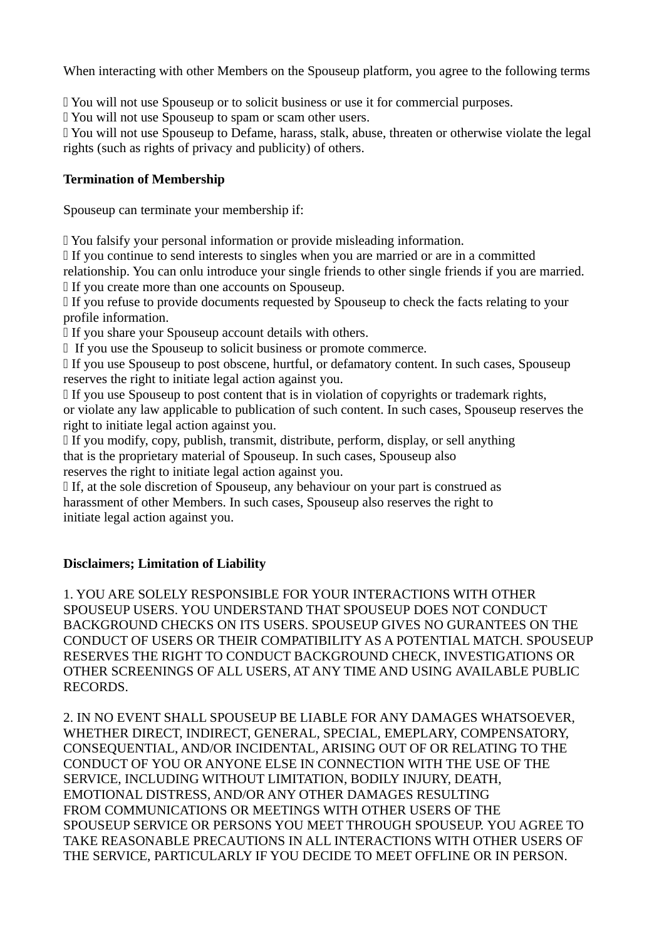When interacting with other Members on the Spouseup platform, you agree to the following terms

You will not use Spouseup or to solicit business or use it for commercial purposes.

You will not use Spouseup to spam or scam other users.

 You will not use Spouseup to Defame, harass, stalk, abuse, threaten or otherwise violate the legal rights (such as rights of privacy and publicity) of others.

## **Termination of Membership**

Spouseup can terminate your membership if:

You falsify your personal information or provide misleading information.

If you continue to send interests to singles when you are married or are in a committed relationship. You can onlu introduce your single friends to other single friends if you are married. If you create more than one accounts on Spouseup.

 If you refuse to provide documents requested by Spouseup to check the facts relating to your profile information.

If you share your Spouseup account details with others.

If you use the Spouseup to solicit business or promote commerce.

 If you use Spouseup to post obscene, hurtful, or defamatory content. In such cases, Spouseup reserves the right to initiate legal action against you.

 If you use Spouseup to post content that is in violation of copyrights or trademark rights, or violate any law applicable to publication of such content. In such cases, Spouseup reserves the right to initiate legal action against you.

 If you modify, copy, publish, transmit, distribute, perform, display, or sell anything that is the proprietary material of Spouseup. In such cases, Spouseup also reserves the right to initiate legal action against you.

 If, at the sole discretion of Spouseup, any behaviour on your part is construed as harassment of other Members. In such cases, Spouseup also reserves the right to initiate legal action against you.

# **Disclaimers; Limitation of Liability**

1. YOU ARE SOLELY RESPONSIBLE FOR YOUR INTERACTIONS WITH OTHER SPOUSEUP USERS. YOU UNDERSTAND THAT SPOUSEUP DOES NOT CONDUCT BACKGROUND CHECKS ON ITS USERS. SPOUSEUP GIVES NO GURANTEES ON THE CONDUCT OF USERS OR THEIR COMPATIBILITY AS A POTENTIAL MATCH. SPOUSEUP RESERVES THE RIGHT TO CONDUCT BACKGROUND CHECK, INVESTIGATIONS OR OTHER SCREENINGS OF ALL USERS, AT ANY TIME AND USING AVAILABLE PUBLIC RECORDS.

2. IN NO EVENT SHALL SPOUSEUP BE LIABLE FOR ANY DAMAGES WHATSOEVER, WHETHER DIRECT, INDIRECT, GENERAL, SPECIAL, EMEPLARY, COMPENSATORY, CONSEQUENTIAL, AND/OR INCIDENTAL, ARISING OUT OF OR RELATING TO THE CONDUCT OF YOU OR ANYONE ELSE IN CONNECTION WITH THE USE OF THE SERVICE, INCLUDING WITHOUT LIMITATION, BODILY INJURY, DEATH, EMOTIONAL DISTRESS, AND/OR ANY OTHER DAMAGES RESULTING FROM COMMUNICATIONS OR MEETINGS WITH OTHER USERS OF THE SPOUSEUP SERVICE OR PERSONS YOU MEET THROUGH SPOUSEUP. YOU AGREE TO TAKE REASONABLE PRECAUTIONS IN ALL INTERACTIONS WITH OTHER USERS OF THE SERVICE, PARTICULARLY IF YOU DECIDE TO MEET OFFLINE OR IN PERSON.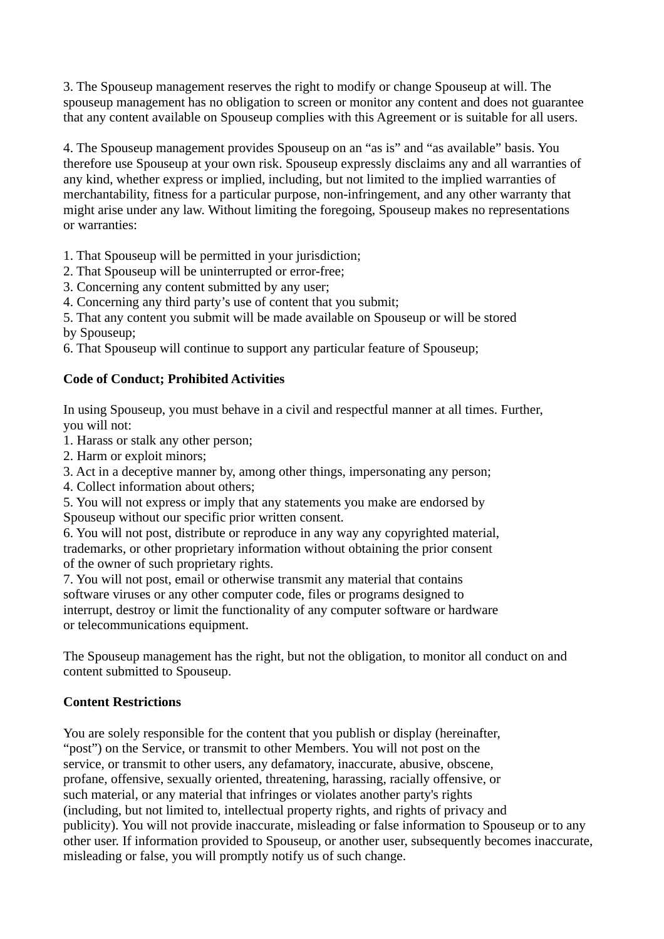3. The Spouseup management reserves the right to modify or change Spouseup at will. The spouseup management has no obligation to screen or monitor any content and does not guarantee that any content available on Spouseup complies with this Agreement or is suitable for all users.

4. The Spouseup management provides Spouseup on an "as is" and "as available" basis. You therefore use Spouseup at your own risk. Spouseup expressly disclaims any and all warranties of any kind, whether express or implied, including, but not limited to the implied warranties of merchantability, fitness for a particular purpose, non-infringement, and any other warranty that might arise under any law. Without limiting the foregoing, Spouseup makes no representations or warranties:

1. That Spouseup will be permitted in your jurisdiction;

- 2. That Spouseup will be uninterrupted or error-free;
- 3. Concerning any content submitted by any user;

4. Concerning any third party's use of content that you submit;

5. That any content you submit will be made available on Spouseup or will be stored by Spouseup;

6. That Spouseup will continue to support any particular feature of Spouseup;

# **Code of Conduct; Prohibited Activities**

In using Spouseup, you must behave in a civil and respectful manner at all times. Further, you will not:

- 1. Harass or stalk any other person;
- 2. Harm or exploit minors;
- 3. Act in a deceptive manner by, among other things, impersonating any person;
- 4. Collect information about others;

5. You will not express or imply that any statements you make are endorsed by Spouseup without our specific prior written consent.

6. You will not post, distribute or reproduce in any way any copyrighted material, trademarks, or other proprietary information without obtaining the prior consent of the owner of such proprietary rights.

7. You will not post, email or otherwise transmit any material that contains software viruses or any other computer code, files or programs designed to interrupt, destroy or limit the functionality of any computer software or hardware or telecommunications equipment.

The Spouseup management has the right, but not the obligation, to monitor all conduct on and content submitted to Spouseup.

## **Content Restrictions**

You are solely responsible for the content that you publish or display (hereinafter, "post") on the Service, or transmit to other Members. You will not post on the service, or transmit to other users, any defamatory, inaccurate, abusive, obscene, profane, offensive, sexually oriented, threatening, harassing, racially offensive, or such material, or any material that infringes or violates another party's rights (including, but not limited to, intellectual property rights, and rights of privacy and publicity). You will not provide inaccurate, misleading or false information to Spouseup or to any other user. If information provided to Spouseup, or another user, subsequently becomes inaccurate, misleading or false, you will promptly notify us of such change.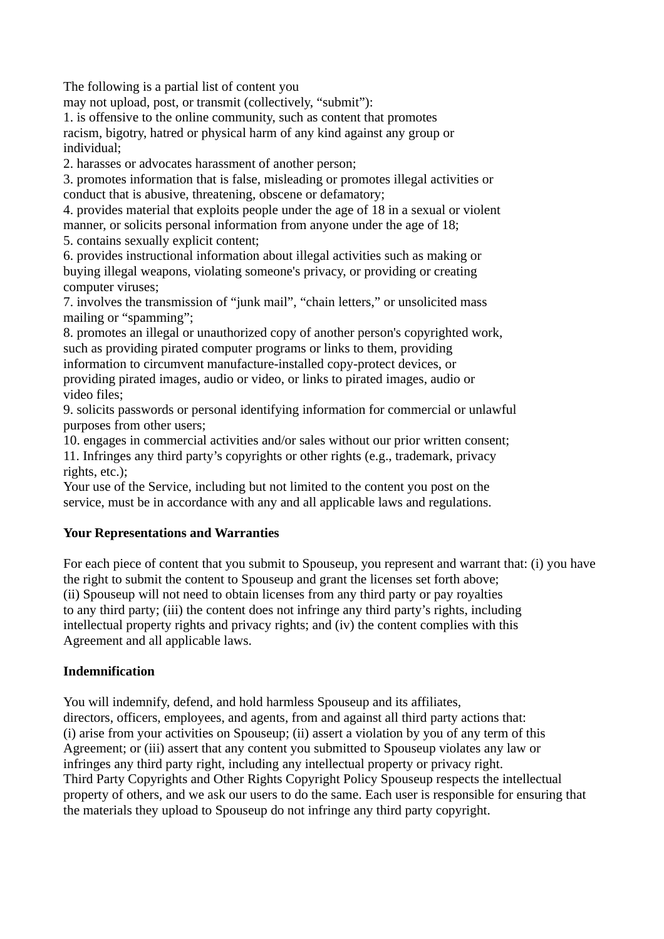The following is a partial list of content you

may not upload, post, or transmit (collectively, "submit"):

1. is offensive to the online community, such as content that promotes racism, bigotry, hatred or physical harm of any kind against any group or individual;

2. harasses or advocates harassment of another person;

3. promotes information that is false, misleading or promotes illegal activities or conduct that is abusive, threatening, obscene or defamatory;

4. provides material that exploits people under the age of 18 in a sexual or violent manner, or solicits personal information from anyone under the age of 18;

5. contains sexually explicit content;

6. provides instructional information about illegal activities such as making or buying illegal weapons, violating someone's privacy, or providing or creating computer viruses;

7. involves the transmission of "junk mail", "chain letters," or unsolicited mass mailing or "spamming";

8. promotes an illegal or unauthorized copy of another person's copyrighted work, such as providing pirated computer programs or links to them, providing information to circumvent manufacture-installed copy-protect devices, or providing pirated images, audio or video, or links to pirated images, audio or video files;

9. solicits passwords or personal identifying information for commercial or unlawful purposes from other users;

10. engages in commercial activities and/or sales without our prior written consent;

11. Infringes any third party's copyrights or other rights (e.g., trademark, privacy rights, etc.);

Your use of the Service, including but not limited to the content you post on the service, must be in accordance with any and all applicable laws and regulations.

# **Your Representations and Warranties**

For each piece of content that you submit to Spouseup, you represent and warrant that: (i) you have the right to submit the content to Spouseup and grant the licenses set forth above; (ii) Spouseup will not need to obtain licenses from any third party or pay royalties to any third party; (iii) the content does not infringe any third party's rights, including intellectual property rights and privacy rights; and (iv) the content complies with this Agreement and all applicable laws.

## **Indemnification**

You will indemnify, defend, and hold harmless Spouseup and its affiliates, directors, officers, employees, and agents, from and against all third party actions that: (i) arise from your activities on Spouseup; (ii) assert a violation by you of any term of this Agreement; or (iii) assert that any content you submitted to Spouseup violates any law or infringes any third party right, including any intellectual property or privacy right. Third Party Copyrights and Other Rights Copyright Policy Spouseup respects the intellectual property of others, and we ask our users to do the same. Each user is responsible for ensuring that the materials they upload to Spouseup do not infringe any third party copyright.